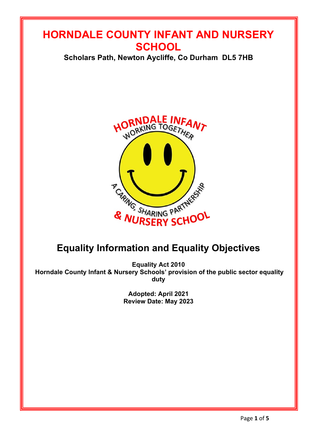# **HORNDALE COUNTY INFANT AND NURSERY SCHOOL**

**Scholars Path, Newton Aycliffe, Co Durham DL5 7HB**



# **Equality Information and Equality Objectives**

**Equality Act 2010 Horndale County Infant & Nursery Schools' provision of the public sector equality duty**

> **Adopted: April 2021 Review Date: May 2023**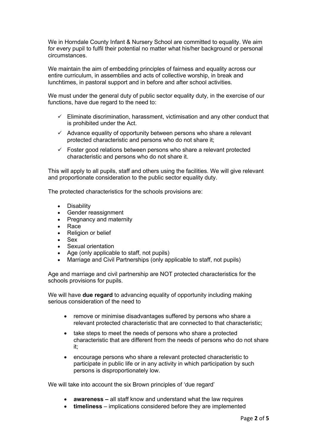We in Horndale County Infant & Nursery School are committed to equality. We aim for every pupil to fulfil their potential no matter what his/her background or personal circumstances.

We maintain the aim of embedding principles of fairness and equality across our entire curriculum, in assemblies and acts of collective worship, in break and lunchtimes, in pastoral support and in before and after school activities.

We must under the general duty of public sector equality duty, in the exercise of our functions, have due regard to the need to:

- $\checkmark$  Eliminate discrimination, harassment, victimisation and any other conduct that is prohibited under the Act.
- $\checkmark$  Advance equality of opportunity between persons who share a relevant protected characteristic and persons who do not share it;
- $\checkmark$  Foster good relations between persons who share a relevant protected characteristic and persons who do not share it.

This will apply to all pupils, staff and others using the facilities. We will give relevant and proportionate consideration to the public sector equality duty.

The protected characteristics for the schools provisions are:

- Disability
- Gender reassignment
- Pregnancy and maternity
- Race
- Religion or belief
- Sex
- Sexual orientation
- Age (only applicable to staff, not pupils)
- Marriage and Civil Partnerships (only applicable to staff, not pupils)

Age and marriage and civil partnership are NOT protected characteristics for the schools provisions for pupils.

We will have **due regard** to advancing equality of opportunity including making serious consideration of the need to

- remove or minimise disadvantages suffered by persons who share a relevant protected characteristic that are connected to that characteristic;
- take steps to meet the needs of persons who share a protected characteristic that are different from the needs of persons who do not share it;
- encourage persons who share a relevant protected characteristic to participate in public life or in any activity in which participation by such persons is disproportionately low.

We will take into account the six Brown principles of 'due regard'

- **awareness –** all staff know and understand what the law requires
- **timeliness**  implications considered before they are implemented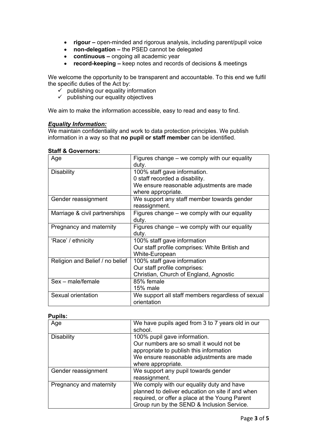- **rigour –** open-minded and rigorous analysis, including parent/pupil voice
- **non-delegation –** the PSED cannot be delegated
- **continuous –** ongoing all academic year
- **record-keeping –** keep notes and records of decisions & meetings

We welcome the opportunity to be transparent and accountable. To this end we fulfil the specific duties of the Act by:

- $\overrightarrow{v}$  publishing our equality information
- $\checkmark$  publishing our equality objectives

We aim to make the information accessible, easy to read and easy to find.

## *Equality Information:*

We maintain confidentiality and work to data protection principles. We publish information in a way so that **no pupil or staff member** can be identified.

| Age                             | Figures change – we comply with our equality      |
|---------------------------------|---------------------------------------------------|
|                                 | duty.                                             |
| <b>Disability</b>               | 100% staff gave information.                      |
|                                 | 0 staff recorded a disability.                    |
|                                 | We ensure reasonable adjustments are made         |
|                                 | where appropriate.                                |
| Gender reassignment             | We support any staff member towards gender        |
|                                 | reassignment.                                     |
| Marriage & civil partnerships   | Figures change – we comply with our equality      |
|                                 | duty.                                             |
| Pregnancy and maternity         | Figures change – we comply with our equality      |
|                                 | duty.                                             |
| 'Race' / ethnicity              | 100% staff gave information                       |
|                                 | Our staff profile comprises: White British and    |
|                                 | White-European                                    |
| Religion and Belief / no belief | 100% staff gave information                       |
|                                 | Our staff profile comprises:                      |
|                                 | Christian, Church of England, Agnostic            |
| $Sex - male/female$             | 85% female                                        |
|                                 | 15% male                                          |
| Sexual orientation              | We support all staff members regardless of sexual |
|                                 | orientation                                       |

#### **Staff & Governors:**

#### **Pupils:**

| Age                     | We have pupils aged from 3 to 7 years old in our<br>school.                                                                                                                                   |
|-------------------------|-----------------------------------------------------------------------------------------------------------------------------------------------------------------------------------------------|
| <b>Disability</b>       | 100% pupil gave information.<br>Our numbers are so small it would not be<br>appropriate to publish this information<br>We ensure reasonable adjustments are made<br>where appropriate.        |
| Gender reassignment     | We support any pupil towards gender<br>reassignment.                                                                                                                                          |
| Pregnancy and maternity | We comply with our equality duty and have<br>planned to deliver education on site if and when<br>required, or offer a place at the Young Parent<br>Group run by the SEND & Inclusion Service. |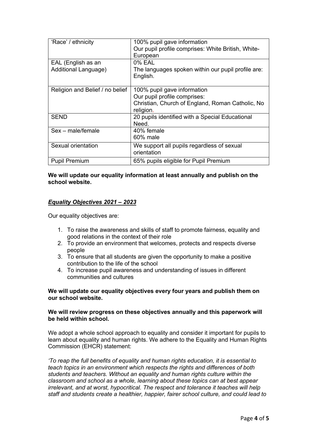| 'Race' / ethnicity                         | 100% pupil gave information<br>Our pupil profile comprises: White British, White-<br>European                                |
|--------------------------------------------|------------------------------------------------------------------------------------------------------------------------------|
| EAL (English as an<br>Additional Language) | 0% EAL<br>The languages spoken within our pupil profile are:<br>English.                                                     |
| Religion and Belief / no belief            | 100% pupil gave information<br>Our pupil profile comprises:<br>Christian, Church of England, Roman Catholic, No<br>religion. |
| <b>SEND</b>                                | 20 pupils identified with a Special Educational<br>Need.                                                                     |
| Sex - male/female                          | 40% female<br>60% male                                                                                                       |
| Sexual orientation                         | We support all pupils regardless of sexual<br>orientation                                                                    |
| <b>Pupil Premium</b>                       | 65% pupils eligible for Pupil Premium                                                                                        |

## **We will update our equality information at least annually and publish on the school website.**

## *Equality Objectives 2021 – 2023*

Our equality objectives are:

- 1. To raise the awareness and skills of staff to promote fairness, equality and good relations in the context of their role
- 2. To provide an environment that welcomes, protects and respects diverse people
- 3. To ensure that all students are given the opportunity to make a positive contribution to the life of the school
- 4. To increase pupil awareness and understanding of issues in different communities and cultures

### **We will update our equality objectives every four years and publish them on our school website.**

### **We will review progress on these objectives annually and this paperwork will be held within school.**

We adopt a whole school approach to equality and consider it important for pupils to learn about equality and human rights. We adhere to the Equality and Human Rights Commission (EHCR) statement:

*'To reap the full benefits of equality and human rights education, it is essential to teach topics in an environment which respects the rights and differences of both students and teachers. Without an equality and human rights culture within the classroom and school as a whole, learning about these topics can at best appear irrelevant, and at worst, hypocritical. The respect and tolerance it teaches will help staff and students create a healthier, happier, fairer school culture, and could lead to*